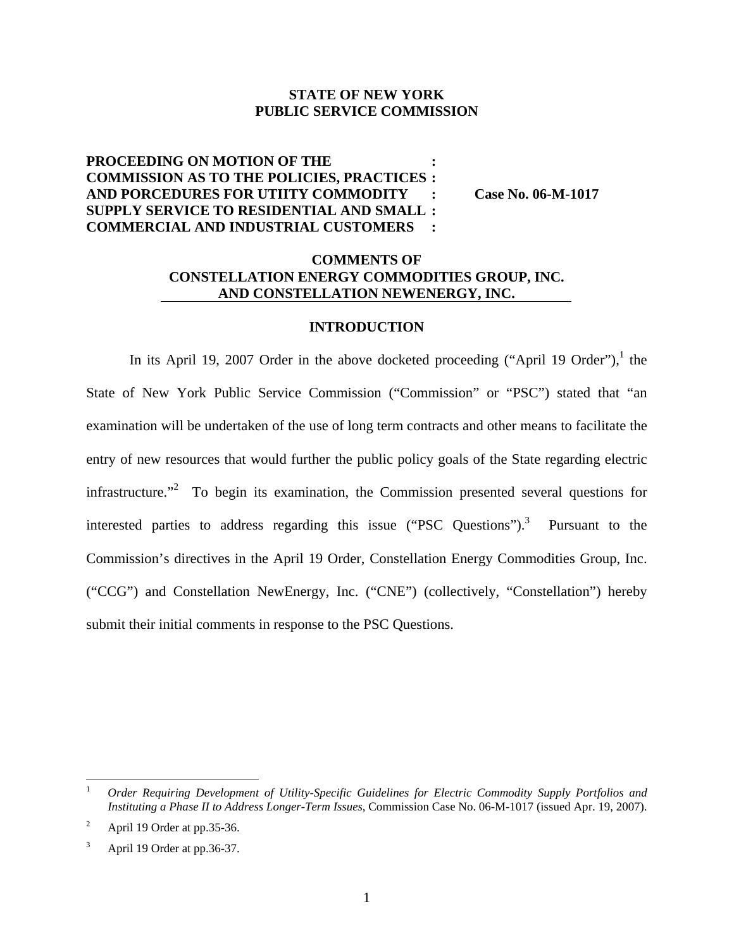### **STATE OF NEW YORK PUBLIC SERVICE COMMISSION**

## **PROCEEDING ON MOTION OF THE : COMMISSION AS TO THE POLICIES, PRACTICES : AND PORCEDURES FOR UTIITY COMMODITY : Case No. 06-M-1017 SUPPLY SERVICE TO RESIDENTIAL AND SMALL : COMMERCIAL AND INDUSTRIAL CUSTOMERS :**

## **COMMENTS OF CONSTELLATION ENERGY COMMODITIES GROUP, INC. AND CONSTELLATION NEWENERGY, INC.**

#### **INTRODUCTION**

In its April 19, 2007 Order in the above docketed proceeding ("April 19 Order"), the State of New York Public Service Commission ("Commission" or "PSC") stated that "an examination will be undertaken of the use of long term contracts and other means to facilitate the entry of new resources that would further the public policy goals of the State regarding electric infrastructure.<sup> $2$ </sup> To begin its examination, the Commission presented several questions for interested parties to address regarding this issue ("PSC Questions").<sup>3</sup> Pursuant to the Commission's directives in the April 19 Order, Constellation Energy Commodities Group, Inc. ("CCG") and Constellation NewEnergy, Inc. ("CNE") (collectively, "Constellation") hereby submit their initial comments in response to the PSC Questions.

 $\overline{a}$ 

<sup>1</sup> *Order Requiring Development of Utility-Specific Guidelines for Electric Commodity Supply Portfolios and Instituting a Phase II to Address Longer-Term Issues*, Commission Case No. 06-M-1017 (issued Apr. 19, 2007).

<sup>2</sup> April 19 Order at pp.35-36.

<sup>3</sup> April 19 Order at pp.36-37.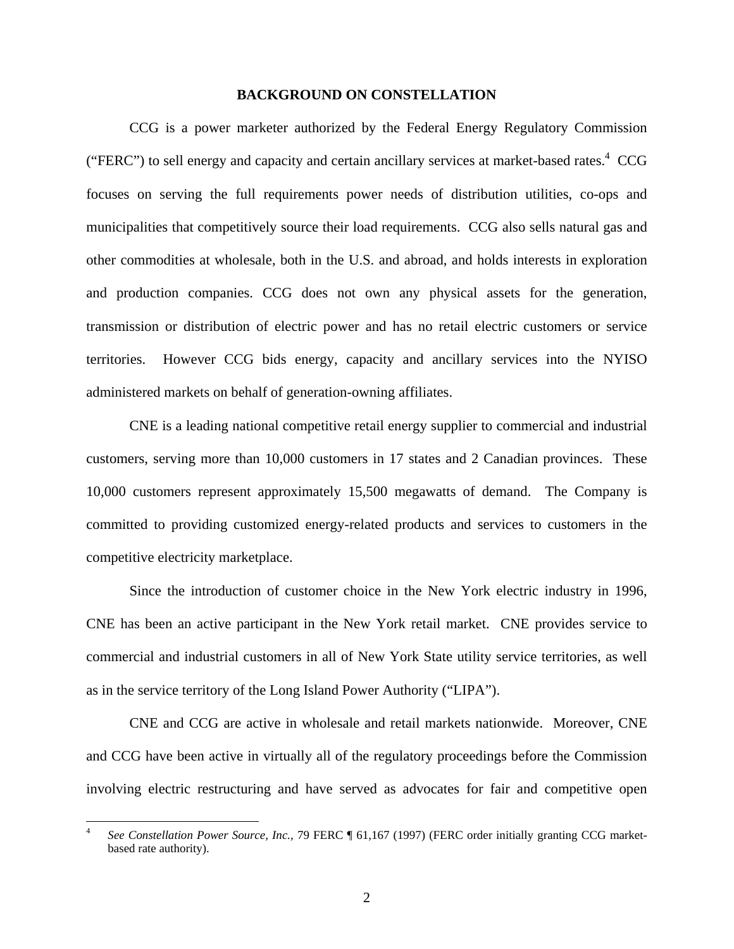#### **BACKGROUND ON CONSTELLATION**

CCG is a power marketer authorized by the Federal Energy Regulatory Commission ("FERC") to sell energy and capacity and certain ancillary services at market-based rates. $4 \text{ CCG}$ focuses on serving the full requirements power needs of distribution utilities, co-ops and municipalities that competitively source their load requirements. CCG also sells natural gas and other commodities at wholesale, both in the U.S. and abroad, and holds interests in exploration and production companies. CCG does not own any physical assets for the generation, transmission or distribution of electric power and has no retail electric customers or service territories. However CCG bids energy, capacity and ancillary services into the NYISO administered markets on behalf of generation-owning affiliates.

CNE is a leading national competitive retail energy supplier to commercial and industrial customers, serving more than 10,000 customers in 17 states and 2 Canadian provinces. These 10,000 customers represent approximately 15,500 megawatts of demand. The Company is committed to providing customized energy-related products and services to customers in the competitive electricity marketplace.

 Since the introduction of customer choice in the New York electric industry in 1996, CNE has been an active participant in the New York retail market. CNE provides service to commercial and industrial customers in all of New York State utility service territories, as well as in the service territory of the Long Island Power Authority ("LIPA").

CNE and CCG are active in wholesale and retail markets nationwide. Moreover, CNE and CCG have been active in virtually all of the regulatory proceedings before the Commission involving electric restructuring and have served as advocates for fair and competitive open

<sup>4</sup> *See Constellation Power Source, Inc.*, 79 FERC ¶ 61,167 (1997) (FERC order initially granting CCG marketbased rate authority).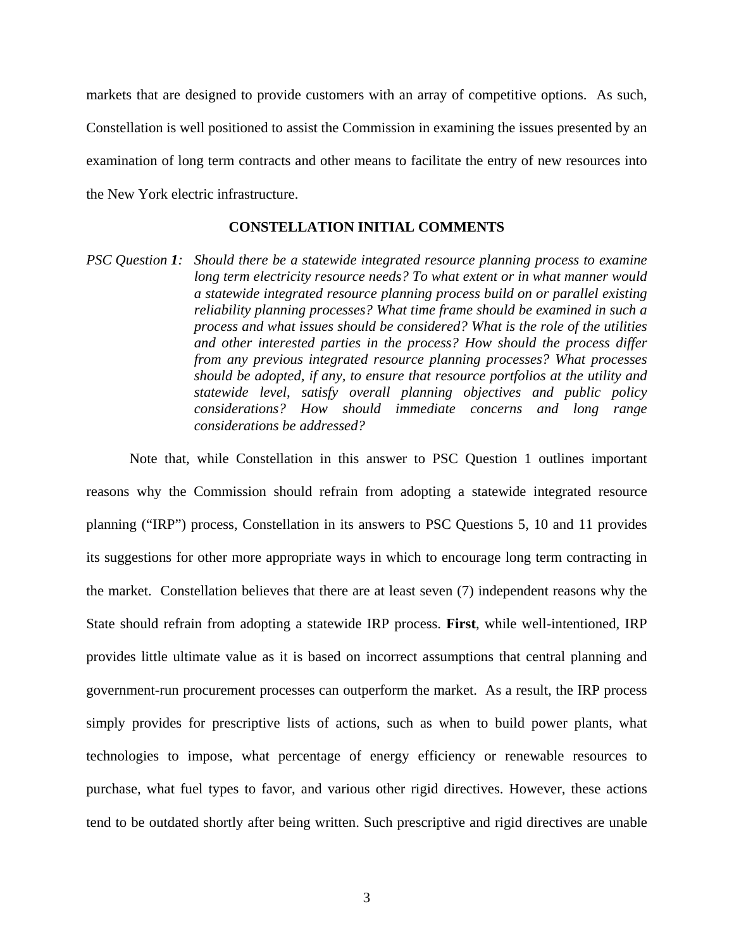markets that are designed to provide customers with an array of competitive options. As such, Constellation is well positioned to assist the Commission in examining the issues presented by an examination of long term contracts and other means to facilitate the entry of new resources into the New York electric infrastructure.

#### **CONSTELLATION INITIAL COMMENTS**

*PSC Question 1: Should there be a statewide integrated resource planning process to examine long term electricity resource needs? To what extent or in what manner would a statewide integrated resource planning process build on or parallel existing reliability planning processes? What time frame should be examined in such a process and what issues should be considered? What is the role of the utilities and other interested parties in the process? How should the process differ from any previous integrated resource planning processes? What processes should be adopted, if any, to ensure that resource portfolios at the utility and statewide level, satisfy overall planning objectives and public policy considerations? How should immediate concerns and long range considerations be addressed?* 

Note that, while Constellation in this answer to PSC Question 1 outlines important reasons why the Commission should refrain from adopting a statewide integrated resource planning ("IRP") process, Constellation in its answers to PSC Questions 5, 10 and 11 provides its suggestions for other more appropriate ways in which to encourage long term contracting in the market. Constellation believes that there are at least seven (7) independent reasons why the State should refrain from adopting a statewide IRP process. **First**, while well-intentioned, IRP provides little ultimate value as it is based on incorrect assumptions that central planning and government-run procurement processes can outperform the market. As a result, the IRP process simply provides for prescriptive lists of actions, such as when to build power plants, what technologies to impose, what percentage of energy efficiency or renewable resources to purchase, what fuel types to favor, and various other rigid directives. However, these actions tend to be outdated shortly after being written. Such prescriptive and rigid directives are unable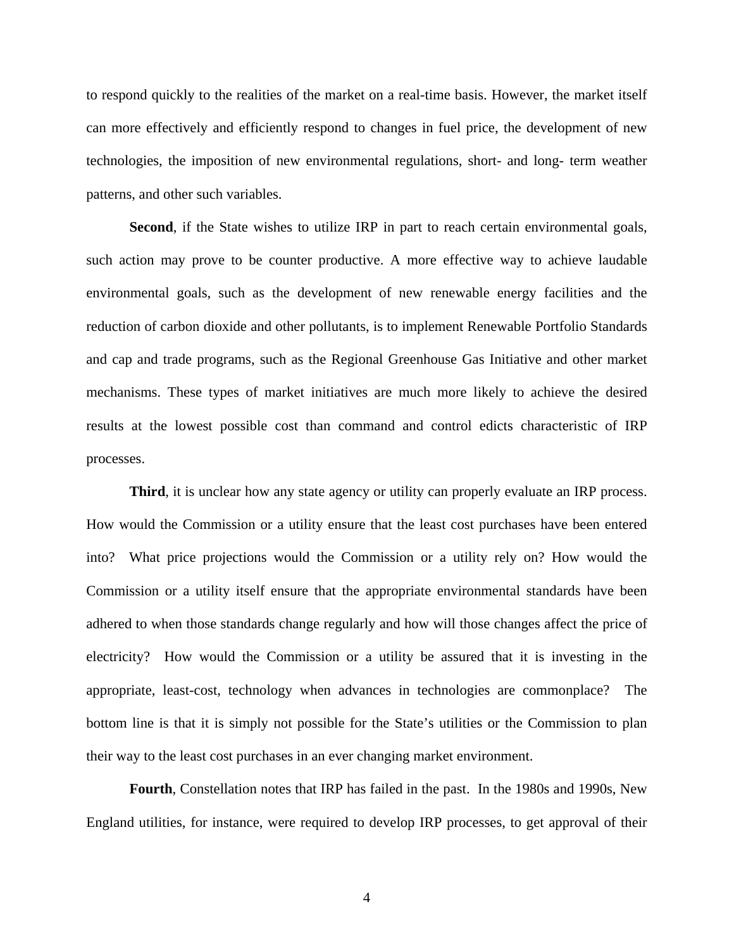to respond quickly to the realities of the market on a real-time basis. However, the market itself can more effectively and efficiently respond to changes in fuel price, the development of new technologies, the imposition of new environmental regulations, short- and long- term weather patterns, and other such variables.

Second, if the State wishes to utilize IRP in part to reach certain environmental goals, such action may prove to be counter productive. A more effective way to achieve laudable environmental goals, such as the development of new renewable energy facilities and the reduction of carbon dioxide and other pollutants, is to implement Renewable Portfolio Standards and cap and trade programs, such as the Regional Greenhouse Gas Initiative and other market mechanisms. These types of market initiatives are much more likely to achieve the desired results at the lowest possible cost than command and control edicts characteristic of IRP processes.

**Third**, it is unclear how any state agency or utility can properly evaluate an IRP process. How would the Commission or a utility ensure that the least cost purchases have been entered into? What price projections would the Commission or a utility rely on? How would the Commission or a utility itself ensure that the appropriate environmental standards have been adhered to when those standards change regularly and how will those changes affect the price of electricity? How would the Commission or a utility be assured that it is investing in the appropriate, least-cost, technology when advances in technologies are commonplace? The bottom line is that it is simply not possible for the State's utilities or the Commission to plan their way to the least cost purchases in an ever changing market environment.

**Fourth**, Constellation notes that IRP has failed in the past. In the 1980s and 1990s, New England utilities, for instance, were required to develop IRP processes, to get approval of their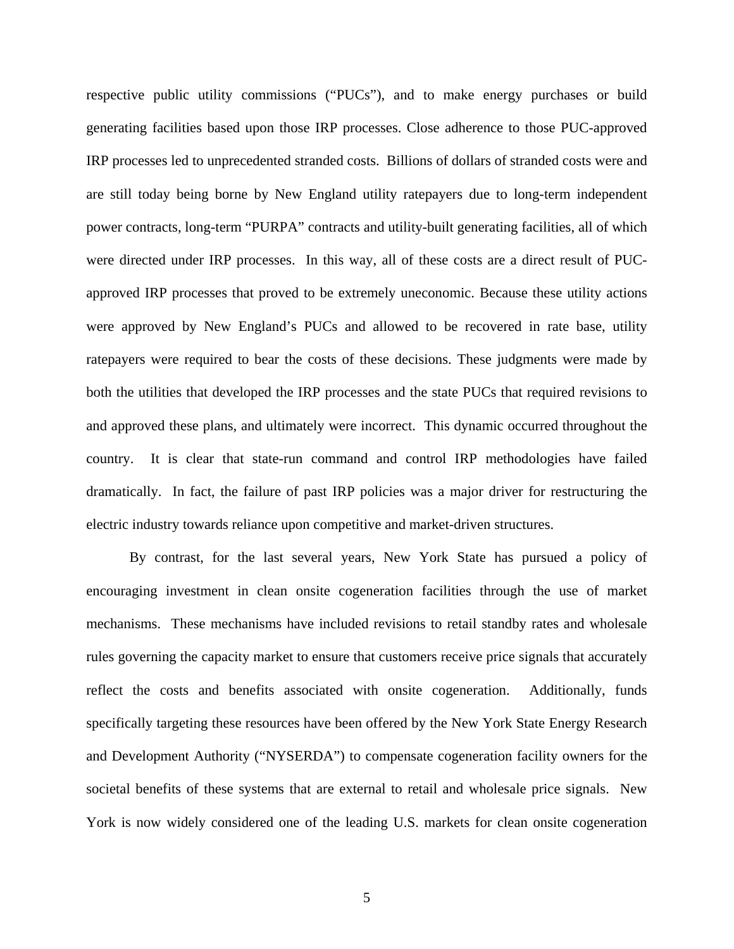respective public utility commissions ("PUCs"), and to make energy purchases or build generating facilities based upon those IRP processes. Close adherence to those PUC-approved IRP processes led to unprecedented stranded costs. Billions of dollars of stranded costs were and are still today being borne by New England utility ratepayers due to long-term independent power contracts, long-term "PURPA" contracts and utility-built generating facilities, all of which were directed under IRP processes. In this way, all of these costs are a direct result of PUCapproved IRP processes that proved to be extremely uneconomic. Because these utility actions were approved by New England's PUCs and allowed to be recovered in rate base, utility ratepayers were required to bear the costs of these decisions. These judgments were made by both the utilities that developed the IRP processes and the state PUCs that required revisions to and approved these plans, and ultimately were incorrect. This dynamic occurred throughout the country. It is clear that state-run command and control IRP methodologies have failed dramatically. In fact, the failure of past IRP policies was a major driver for restructuring the electric industry towards reliance upon competitive and market-driven structures.

By contrast, for the last several years, New York State has pursued a policy of encouraging investment in clean onsite cogeneration facilities through the use of market mechanisms. These mechanisms have included revisions to retail standby rates and wholesale rules governing the capacity market to ensure that customers receive price signals that accurately reflect the costs and benefits associated with onsite cogeneration. Additionally, funds specifically targeting these resources have been offered by the New York State Energy Research and Development Authority ("NYSERDA") to compensate cogeneration facility owners for the societal benefits of these systems that are external to retail and wholesale price signals. New York is now widely considered one of the leading U.S. markets for clean onsite cogeneration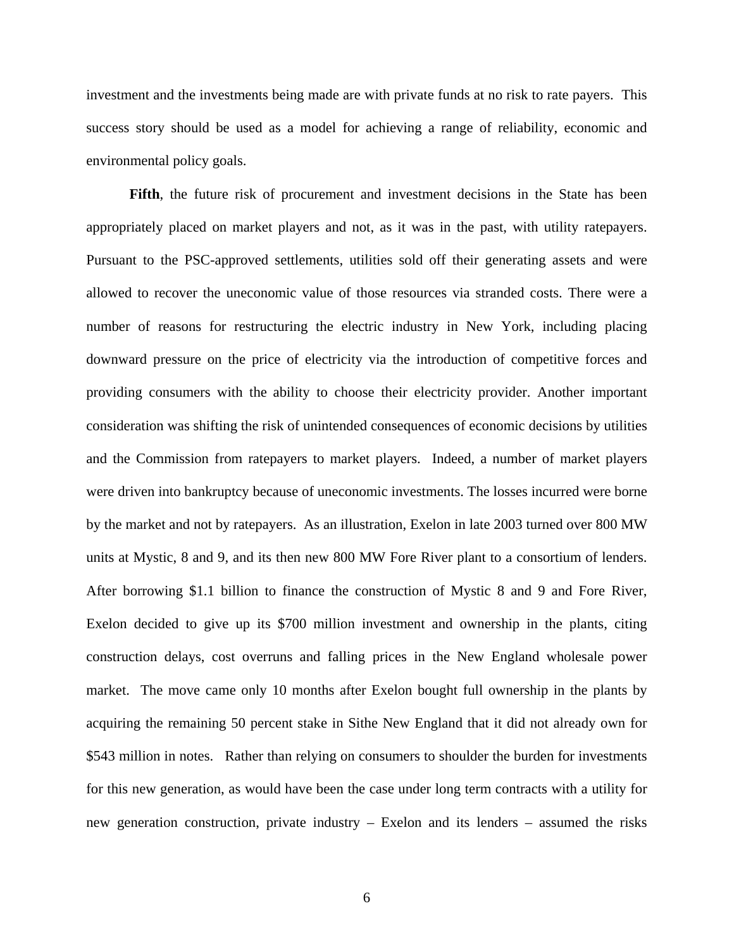investment and the investments being made are with private funds at no risk to rate payers. This success story should be used as a model for achieving a range of reliability, economic and environmental policy goals.

**Fifth**, the future risk of procurement and investment decisions in the State has been appropriately placed on market players and not, as it was in the past, with utility ratepayers. Pursuant to the PSC-approved settlements, utilities sold off their generating assets and were allowed to recover the uneconomic value of those resources via stranded costs. There were a number of reasons for restructuring the electric industry in New York, including placing downward pressure on the price of electricity via the introduction of competitive forces and providing consumers with the ability to choose their electricity provider. Another important consideration was shifting the risk of unintended consequences of economic decisions by utilities and the Commission from ratepayers to market players. Indeed, a number of market players were driven into bankruptcy because of uneconomic investments. The losses incurred were borne by the market and not by ratepayers. As an illustration, Exelon in late 2003 turned over 800 MW units at Mystic, 8 and 9, and its then new 800 MW Fore River plant to a consortium of lenders. After borrowing \$1.1 billion to finance the construction of Mystic 8 and 9 and Fore River, Exelon decided to give up its \$700 million investment and ownership in the plants, citing construction delays, cost overruns and falling prices in the New England wholesale power market. The move came only 10 months after Exelon bought full ownership in the plants by acquiring the remaining 50 percent stake in Sithe New England that it did not already own for \$543 million in notes. Rather than relying on consumers to shoulder the burden for investments for this new generation, as would have been the case under long term contracts with a utility for new generation construction, private industry – Exelon and its lenders – assumed the risks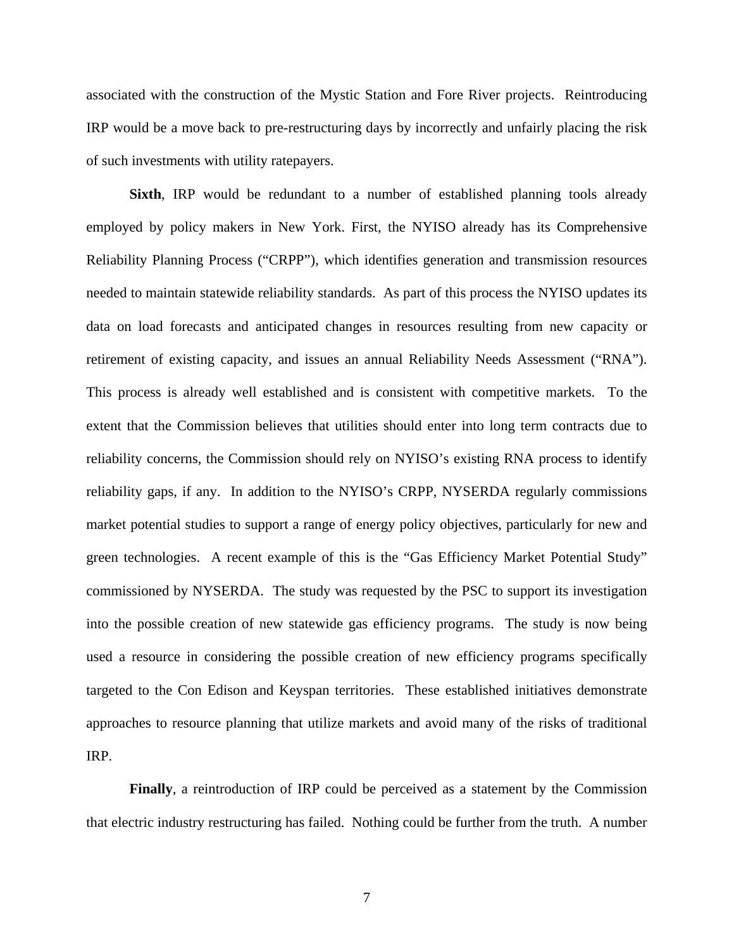associated with the construction of the Mystic Station and Fore River projects. Reintroducing IRP would be a move back to pre-restructuring days by incorrectly and unfairly placing the risk of such investments with utility ratepayers.

**Sixth**, IRP would be redundant to a number of established planning tools already employed by policy makers in New York. First, the NYISO already has its Comprehensive Reliability Planning Process ("CRPP"), which identifies generation and transmission resources needed to maintain statewide reliability standards. As part of this process the NYISO updates its data on load forecasts and anticipated changes in resources resulting from new capacity or retirement of existing capacity, and issues an annual Reliability Needs Assessment ("RNA"). This process is already well established and is consistent with competitive markets. To the extent that the Commission believes that utilities should enter into long term contracts due to reliability concerns, the Commission should rely on NYISO's existing RNA process to identify reliability gaps, if any. In addition to the NYISO's CRPP, NYSERDA regularly commissions market potential studies to support a range of energy policy objectives, particularly for new and green technologies. A recent example of this is the "Gas Efficiency Market Potential Study" commissioned by NYSERDA. The study was requested by the PSC to support its investigation into the possible creation of new statewide gas efficiency programs. The study is now being used a resource in considering the possible creation of new efficiency programs specifically targeted to the Con Edison and Keyspan territories. These established initiatives demonstrate approaches to resource planning that utilize markets and avoid many of the risks of traditional IRP.

**Finally**, a reintroduction of IRP could be perceived as a statement by the Commission that electric industry restructuring has failed. Nothing could be further from the truth. A number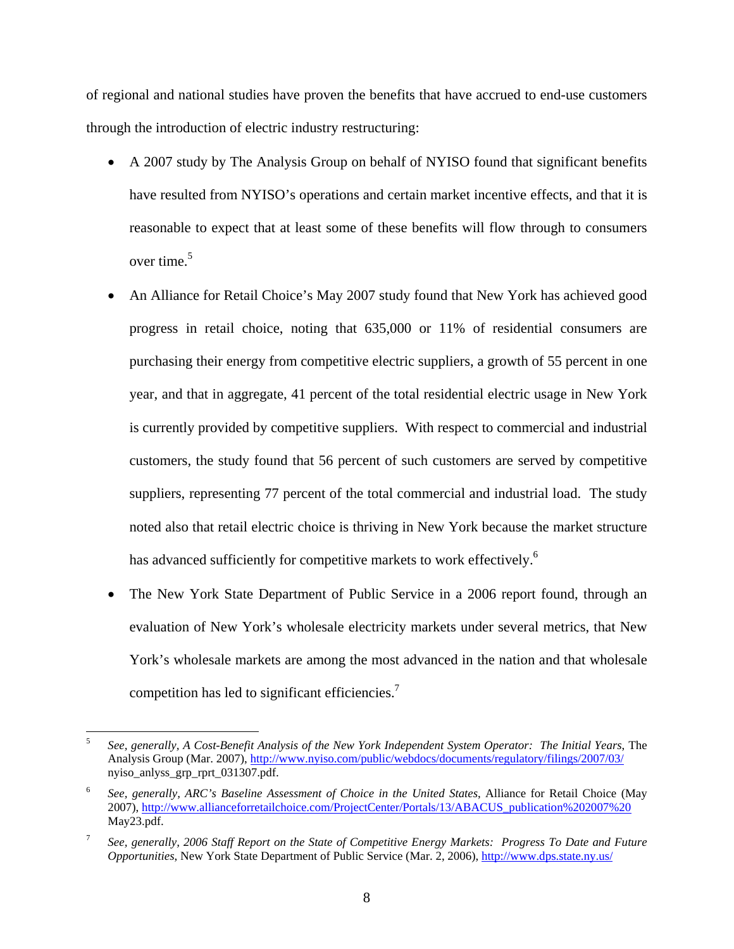of regional and national studies have proven the benefits that have accrued to end-use customers through the introduction of electric industry restructuring:

- A 2007 study by The Analysis Group on behalf of NYISO found that significant benefits have resulted from NYISO's operations and certain market incentive effects, and that it is reasonable to expect that at least some of these benefits will flow through to consumers over time. $5$
- An Alliance for Retail Choice's May 2007 study found that New York has achieved good progress in retail choice, noting that 635,000 or 11% of residential consumers are purchasing their energy from competitive electric suppliers, a growth of 55 percent in one year, and that in aggregate, 41 percent of the total residential electric usage in New York is currently provided by competitive suppliers. With respect to commercial and industrial customers, the study found that 56 percent of such customers are served by competitive suppliers, representing 77 percent of the total commercial and industrial load. The study noted also that retail electric choice is thriving in New York because the market structure has advanced sufficiently for competitive markets to work effectively.<sup>6</sup>
- The New York State Department of Public Service in a 2006 report found, through an evaluation of New York's wholesale electricity markets under several metrics, that New York's wholesale markets are among the most advanced in the nation and that wholesale competition has led to significant efficiencies.<sup>7</sup>

 $\overline{a}$ 

<sup>5</sup> *See, generally, A Cost-Benefit Analysis of the New York Independent System Operator: The Initial Years*, The Analysis Group (Mar. 2007), http://www.nyiso.com/public/webdocs/documents/regulatory/filings/2007/03/ nyiso\_anlyss\_grp\_rprt\_031307.pdf.

<sup>6</sup> *See, generally, ARC's Baseline Assessment of Choice in the United States*, Alliance for Retail Choice (May 2007), http://www.allianceforretailchoice.com/ProjectCenter/Portals/13/ABACUS\_publication%202007%20 May23.pdf.

<sup>7</sup> *See, generally, 2006 Staff Report on the State of Competitive Energy Markets: Progress To Date and Future Opportunities*, New York State Department of Public Service (Mar. 2, 2006), http://www.dps.state.ny.us/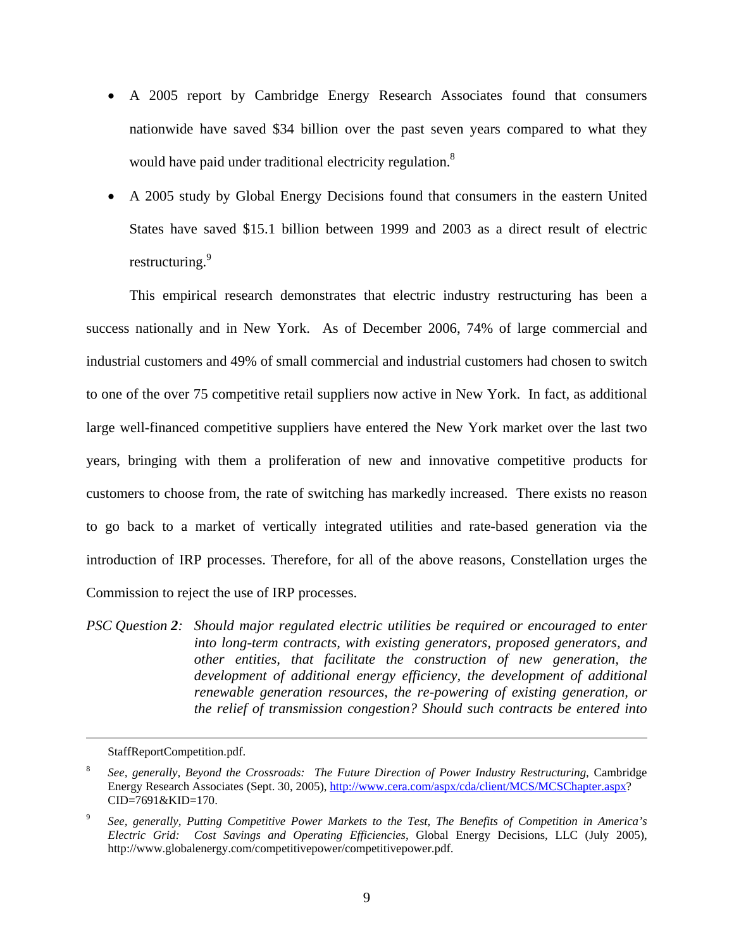- A 2005 report by Cambridge Energy Research Associates found that consumers nationwide have saved \$34 billion over the past seven years compared to what they would have paid under traditional electricity regulation.<sup>8</sup>
- A 2005 study by Global Energy Decisions found that consumers in the eastern United States have saved \$15.1 billion between 1999 and 2003 as a direct result of electric restructuring.<sup>9</sup>

This empirical research demonstrates that electric industry restructuring has been a success nationally and in New York. As of December 2006, 74% of large commercial and industrial customers and 49% of small commercial and industrial customers had chosen to switch to one of the over 75 competitive retail suppliers now active in New York. In fact, as additional large well-financed competitive suppliers have entered the New York market over the last two years, bringing with them a proliferation of new and innovative competitive products for customers to choose from, the rate of switching has markedly increased. There exists no reason to go back to a market of vertically integrated utilities and rate-based generation via the introduction of IRP processes. Therefore, for all of the above reasons, Constellation urges the Commission to reject the use of IRP processes.

*PSC Question 2: Should major regulated electric utilities be required or encouraged to enter into long-term contracts, with existing generators, proposed generators, and other entities, that facilitate the construction of new generation, the development of additional energy efficiency, the development of additional renewable generation resources, the re-powering of existing generation, or the relief of transmission congestion? Should such contracts be entered into* 

StaffReportCompetition.pdf.

<sup>8</sup> *See, generally, Beyond the Crossroads: The Future Direction of Power Industry Restructuring*, Cambridge Energy Research Associates (Sept. 30, 2005), http://www.cera.com/aspx/cda/client/MCS/MCSChapter.aspx? CID=7691&KID=170.

<sup>9</sup> *See, generally, Putting Competitive Power Markets to the Test, The Benefits of Competition in America's Electric Grid: Cost Savings and Operating Efficiencies*, Global Energy Decisions, LLC (July 2005), http://www.globalenergy.com/competitivepower/competitivepower.pdf.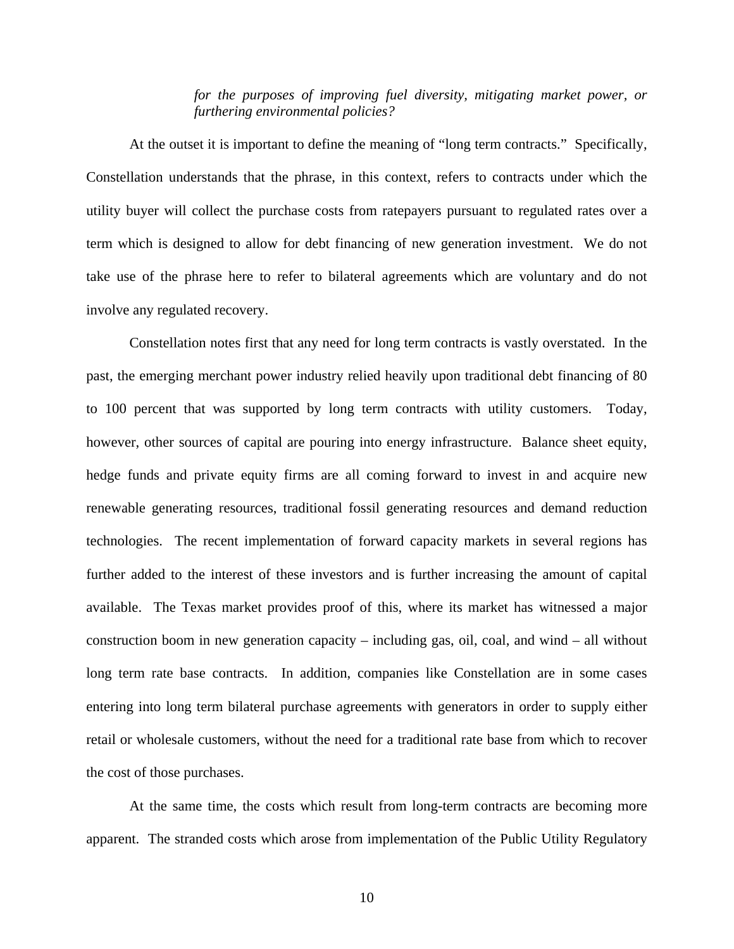*for the purposes of improving fuel diversity, mitigating market power, or furthering environmental policies?* 

At the outset it is important to define the meaning of "long term contracts." Specifically, Constellation understands that the phrase, in this context, refers to contracts under which the utility buyer will collect the purchase costs from ratepayers pursuant to regulated rates over a term which is designed to allow for debt financing of new generation investment. We do not take use of the phrase here to refer to bilateral agreements which are voluntary and do not involve any regulated recovery.

Constellation notes first that any need for long term contracts is vastly overstated. In the past, the emerging merchant power industry relied heavily upon traditional debt financing of 80 to 100 percent that was supported by long term contracts with utility customers. Today, however, other sources of capital are pouring into energy infrastructure. Balance sheet equity, hedge funds and private equity firms are all coming forward to invest in and acquire new renewable generating resources, traditional fossil generating resources and demand reduction technologies. The recent implementation of forward capacity markets in several regions has further added to the interest of these investors and is further increasing the amount of capital available. The Texas market provides proof of this, where its market has witnessed a major construction boom in new generation capacity – including gas, oil, coal, and wind – all without long term rate base contracts. In addition, companies like Constellation are in some cases entering into long term bilateral purchase agreements with generators in order to supply either retail or wholesale customers, without the need for a traditional rate base from which to recover the cost of those purchases.

At the same time, the costs which result from long-term contracts are becoming more apparent. The stranded costs which arose from implementation of the Public Utility Regulatory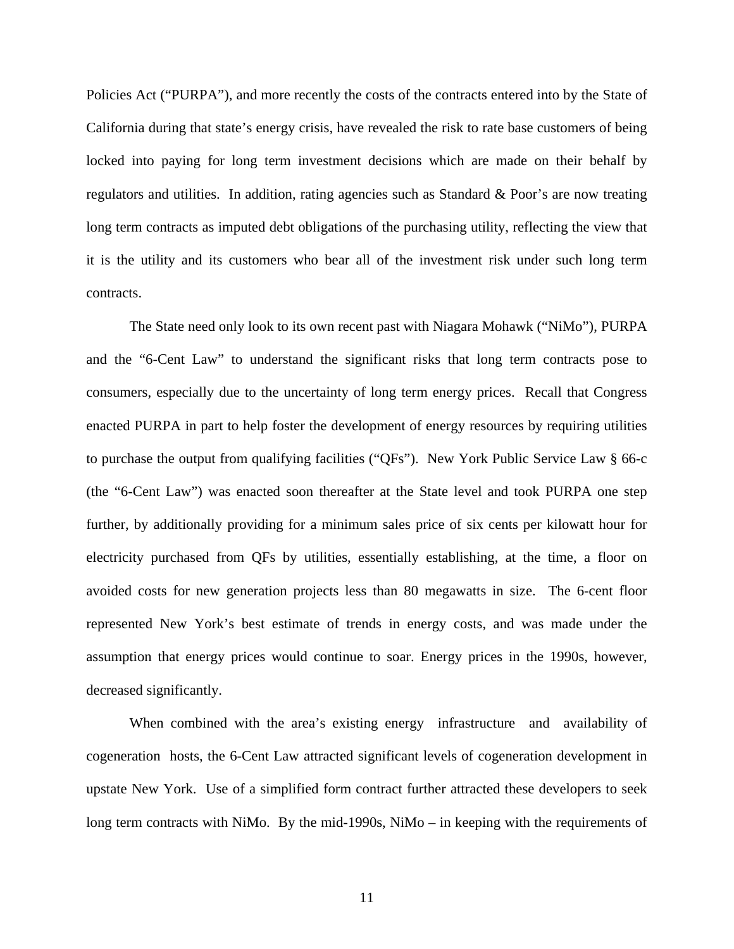Policies Act ("PURPA"), and more recently the costs of the contracts entered into by the State of California during that state's energy crisis, have revealed the risk to rate base customers of being locked into paying for long term investment decisions which are made on their behalf by regulators and utilities. In addition, rating agencies such as Standard & Poor's are now treating long term contracts as imputed debt obligations of the purchasing utility, reflecting the view that it is the utility and its customers who bear all of the investment risk under such long term contracts.

The State need only look to its own recent past with Niagara Mohawk ("NiMo"), PURPA and the "6-Cent Law" to understand the significant risks that long term contracts pose to consumers, especially due to the uncertainty of long term energy prices. Recall that Congress enacted PURPA in part to help foster the development of energy resources by requiring utilities to purchase the output from qualifying facilities ("QFs"). New York Public Service Law § 66-c (the "6-Cent Law") was enacted soon thereafter at the State level and took PURPA one step further, by additionally providing for a minimum sales price of six cents per kilowatt hour for electricity purchased from QFs by utilities, essentially establishing, at the time, a floor on avoided costs for new generation projects less than 80 megawatts in size. The 6-cent floor represented New York's best estimate of trends in energy costs, and was made under the assumption that energy prices would continue to soar. Energy prices in the 1990s, however, decreased significantly.

When combined with the area's existing energy infrastructure and availability of cogeneration hosts, the 6-Cent Law attracted significant levels of cogeneration development in upstate New York. Use of a simplified form contract further attracted these developers to seek long term contracts with NiMo. By the mid-1990s, NiMo – in keeping with the requirements of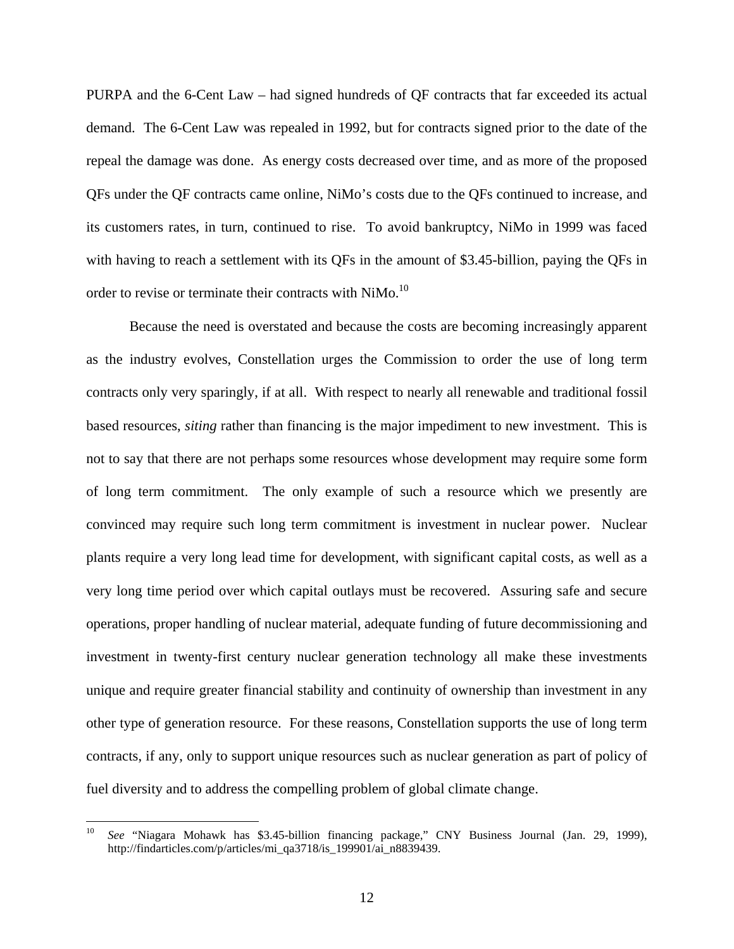PURPA and the 6-Cent Law – had signed hundreds of QF contracts that far exceeded its actual demand. The 6-Cent Law was repealed in 1992, but for contracts signed prior to the date of the repeal the damage was done. As energy costs decreased over time, and as more of the proposed QFs under the QF contracts came online, NiMo's costs due to the QFs continued to increase, and its customers rates, in turn, continued to rise. To avoid bankruptcy, NiMo in 1999 was faced with having to reach a settlement with its QFs in the amount of \$3.45-billion, paying the QFs in order to revise or terminate their contracts with NiMo.<sup>10</sup>

Because the need is overstated and because the costs are becoming increasingly apparent as the industry evolves, Constellation urges the Commission to order the use of long term contracts only very sparingly, if at all. With respect to nearly all renewable and traditional fossil based resources, *siting* rather than financing is the major impediment to new investment. This is not to say that there are not perhaps some resources whose development may require some form of long term commitment. The only example of such a resource which we presently are convinced may require such long term commitment is investment in nuclear power. Nuclear plants require a very long lead time for development, with significant capital costs, as well as a very long time period over which capital outlays must be recovered. Assuring safe and secure operations, proper handling of nuclear material, adequate funding of future decommissioning and investment in twenty-first century nuclear generation technology all make these investments unique and require greater financial stability and continuity of ownership than investment in any other type of generation resource. For these reasons, Constellation supports the use of long term contracts, if any, only to support unique resources such as nuclear generation as part of policy of fuel diversity and to address the compelling problem of global climate change.

<sup>10</sup> *See* "Niagara Mohawk has \$3.45-billion financing package," CNY Business Journal (Jan. 29, 1999), http://findarticles.com/p/articles/mi\_qa3718/is\_199901/ai\_n8839439.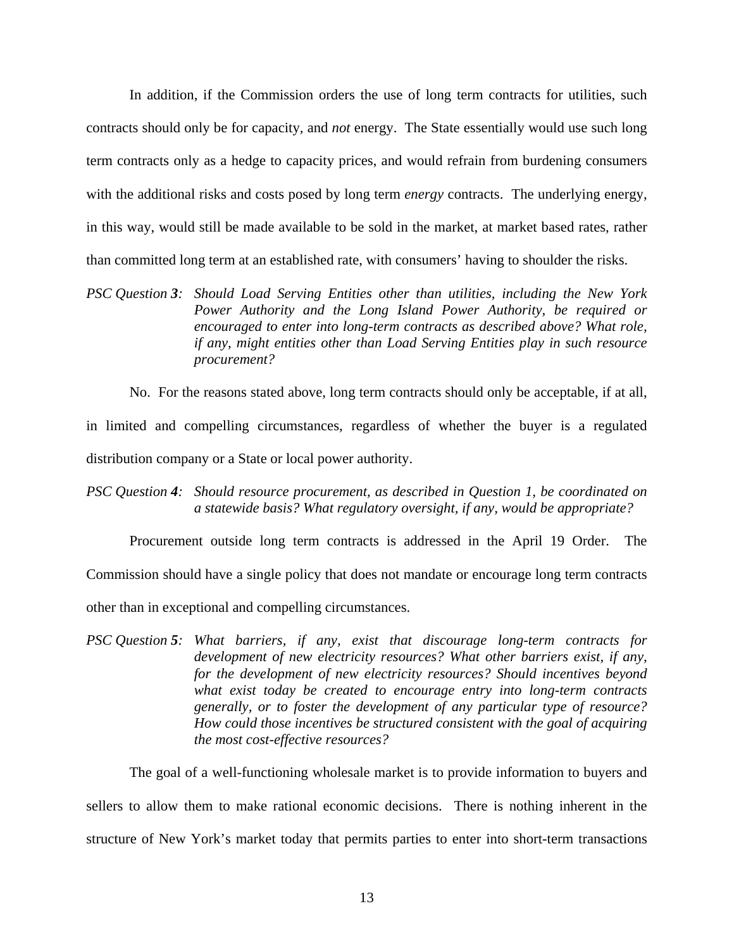In addition, if the Commission orders the use of long term contracts for utilities, such contracts should only be for capacity, and *not* energy. The State essentially would use such long term contracts only as a hedge to capacity prices, and would refrain from burdening consumers with the additional risks and costs posed by long term *energy* contracts. The underlying energy, in this way, would still be made available to be sold in the market, at market based rates, rather than committed long term at an established rate, with consumers' having to shoulder the risks.

*PSC Question 3: Should Load Serving Entities other than utilities, including the New York Power Authority and the Long Island Power Authority, be required or encouraged to enter into long-term contracts as described above? What role, if any, might entities other than Load Serving Entities play in such resource procurement?* 

No. For the reasons stated above, long term contracts should only be acceptable, if at all,

in limited and compelling circumstances, regardless of whether the buyer is a regulated distribution company or a State or local power authority.

*PSC Question 4: Should resource procurement, as described in Question 1, be coordinated on a statewide basis? What regulatory oversight, if any, would be appropriate?* 

Procurement outside long term contracts is addressed in the April 19 Order. The

Commission should have a single policy that does not mandate or encourage long term contracts

other than in exceptional and compelling circumstances.

*PSC Question 5: What barriers, if any, exist that discourage long-term contracts for development of new electricity resources? What other barriers exist, if any, for the development of new electricity resources? Should incentives beyond what exist today be created to encourage entry into long-term contracts generally, or to foster the development of any particular type of resource? How could those incentives be structured consistent with the goal of acquiring the most cost-effective resources?* 

The goal of a well-functioning wholesale market is to provide information to buyers and

sellers to allow them to make rational economic decisions. There is nothing inherent in the structure of New York's market today that permits parties to enter into short-term transactions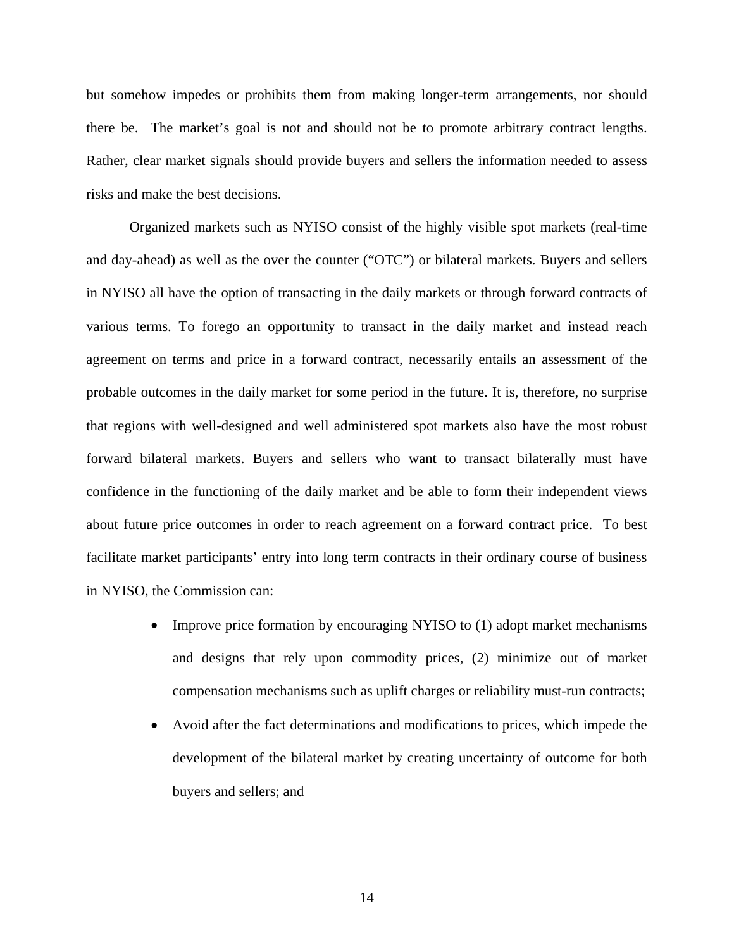but somehow impedes or prohibits them from making longer-term arrangements, nor should there be. The market's goal is not and should not be to promote arbitrary contract lengths. Rather, clear market signals should provide buyers and sellers the information needed to assess risks and make the best decisions.

Organized markets such as NYISO consist of the highly visible spot markets (real-time and day-ahead) as well as the over the counter ("OTC") or bilateral markets. Buyers and sellers in NYISO all have the option of transacting in the daily markets or through forward contracts of various terms. To forego an opportunity to transact in the daily market and instead reach agreement on terms and price in a forward contract, necessarily entails an assessment of the probable outcomes in the daily market for some period in the future. It is, therefore, no surprise that regions with well-designed and well administered spot markets also have the most robust forward bilateral markets. Buyers and sellers who want to transact bilaterally must have confidence in the functioning of the daily market and be able to form their independent views about future price outcomes in order to reach agreement on a forward contract price. To best facilitate market participants' entry into long term contracts in their ordinary course of business in NYISO, the Commission can:

- Improve price formation by encouraging NYISO to (1) adopt market mechanisms and designs that rely upon commodity prices, (2) minimize out of market compensation mechanisms such as uplift charges or reliability must-run contracts;
- Avoid after the fact determinations and modifications to prices, which impede the development of the bilateral market by creating uncertainty of outcome for both buyers and sellers; and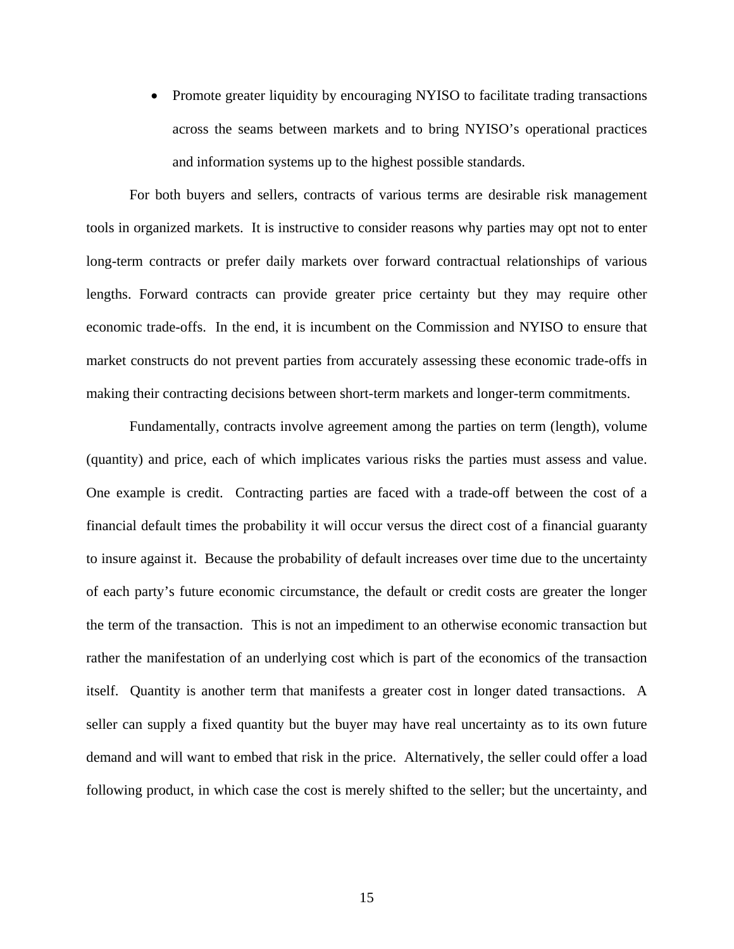• Promote greater liquidity by encouraging NYISO to facilitate trading transactions across the seams between markets and to bring NYISO's operational practices and information systems up to the highest possible standards.

For both buyers and sellers, contracts of various terms are desirable risk management tools in organized markets. It is instructive to consider reasons why parties may opt not to enter long-term contracts or prefer daily markets over forward contractual relationships of various lengths. Forward contracts can provide greater price certainty but they may require other economic trade-offs. In the end, it is incumbent on the Commission and NYISO to ensure that market constructs do not prevent parties from accurately assessing these economic trade-offs in making their contracting decisions between short-term markets and longer-term commitments.

Fundamentally, contracts involve agreement among the parties on term (length), volume (quantity) and price, each of which implicates various risks the parties must assess and value. One example is credit. Contracting parties are faced with a trade-off between the cost of a financial default times the probability it will occur versus the direct cost of a financial guaranty to insure against it. Because the probability of default increases over time due to the uncertainty of each party's future economic circumstance, the default or credit costs are greater the longer the term of the transaction. This is not an impediment to an otherwise economic transaction but rather the manifestation of an underlying cost which is part of the economics of the transaction itself. Quantity is another term that manifests a greater cost in longer dated transactions. A seller can supply a fixed quantity but the buyer may have real uncertainty as to its own future demand and will want to embed that risk in the price. Alternatively, the seller could offer a load following product, in which case the cost is merely shifted to the seller; but the uncertainty, and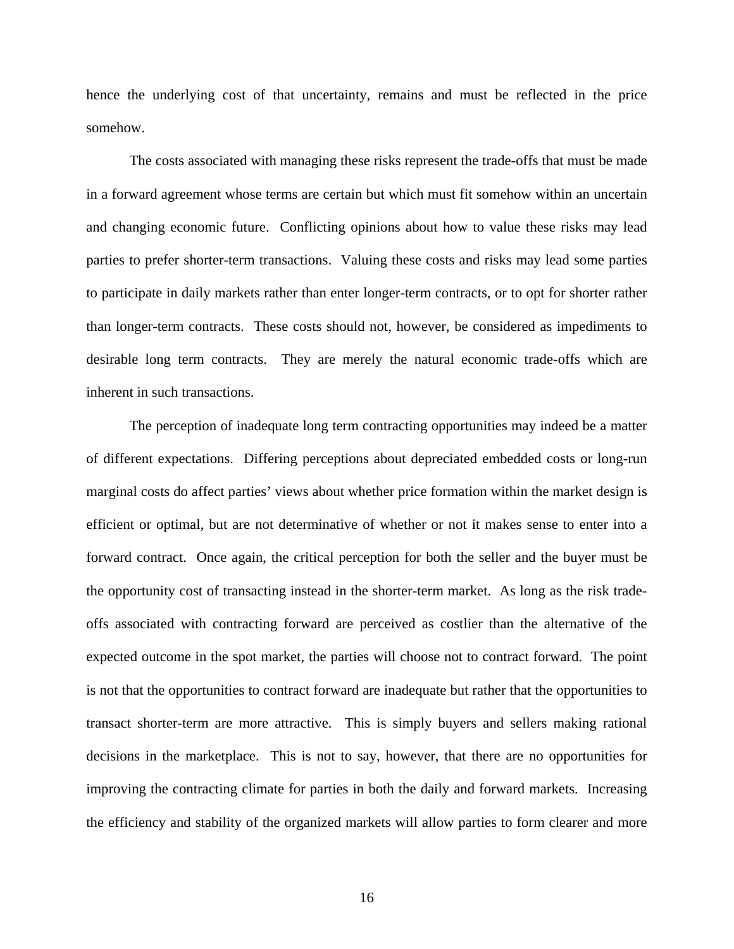hence the underlying cost of that uncertainty, remains and must be reflected in the price somehow.

The costs associated with managing these risks represent the trade-offs that must be made in a forward agreement whose terms are certain but which must fit somehow within an uncertain and changing economic future. Conflicting opinions about how to value these risks may lead parties to prefer shorter-term transactions. Valuing these costs and risks may lead some parties to participate in daily markets rather than enter longer-term contracts, or to opt for shorter rather than longer-term contracts. These costs should not, however, be considered as impediments to desirable long term contracts. They are merely the natural economic trade-offs which are inherent in such transactions.

The perception of inadequate long term contracting opportunities may indeed be a matter of different expectations. Differing perceptions about depreciated embedded costs or long-run marginal costs do affect parties' views about whether price formation within the market design is efficient or optimal, but are not determinative of whether or not it makes sense to enter into a forward contract. Once again, the critical perception for both the seller and the buyer must be the opportunity cost of transacting instead in the shorter-term market. As long as the risk tradeoffs associated with contracting forward are perceived as costlier than the alternative of the expected outcome in the spot market, the parties will choose not to contract forward. The point is not that the opportunities to contract forward are inadequate but rather that the opportunities to transact shorter-term are more attractive. This is simply buyers and sellers making rational decisions in the marketplace. This is not to say, however, that there are no opportunities for improving the contracting climate for parties in both the daily and forward markets. Increasing the efficiency and stability of the organized markets will allow parties to form clearer and more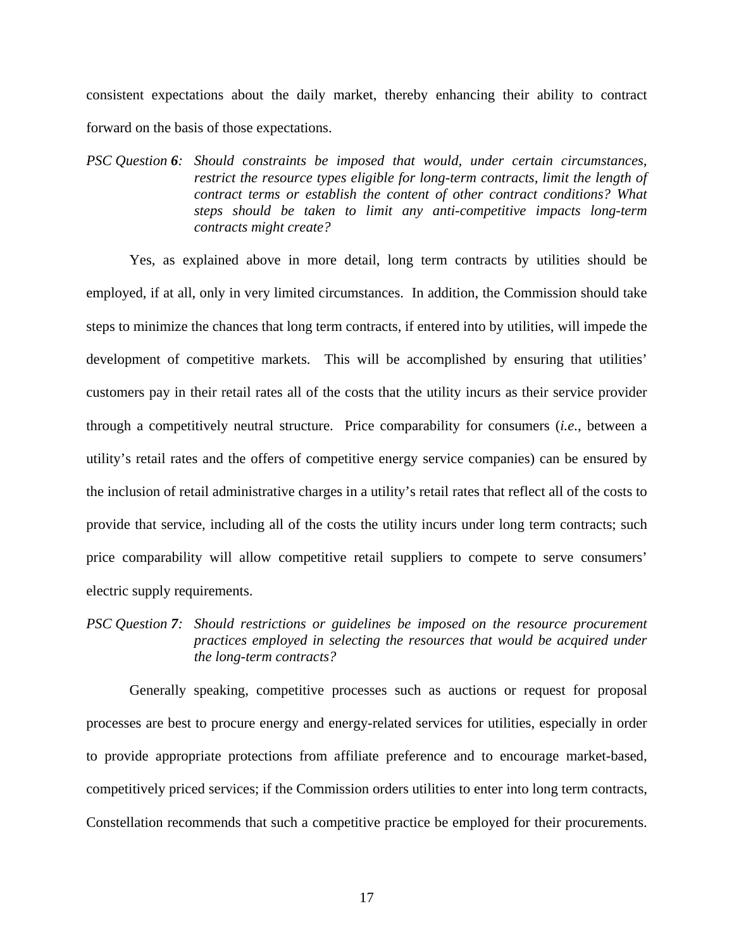consistent expectations about the daily market, thereby enhancing their ability to contract forward on the basis of those expectations.

*PSC Question 6: Should constraints be imposed that would, under certain circumstances, restrict the resource types eligible for long-term contracts, limit the length of contract terms or establish the content of other contract conditions? What steps should be taken to limit any anti-competitive impacts long-term contracts might create?* 

Yes, as explained above in more detail, long term contracts by utilities should be employed, if at all, only in very limited circumstances. In addition, the Commission should take steps to minimize the chances that long term contracts, if entered into by utilities, will impede the development of competitive markets. This will be accomplished by ensuring that utilities' customers pay in their retail rates all of the costs that the utility incurs as their service provider through a competitively neutral structure. Price comparability for consumers (*i.e.*, between a utility's retail rates and the offers of competitive energy service companies) can be ensured by the inclusion of retail administrative charges in a utility's retail rates that reflect all of the costs to provide that service, including all of the costs the utility incurs under long term contracts; such price comparability will allow competitive retail suppliers to compete to serve consumers' electric supply requirements.

## *PSC Question 7: Should restrictions or guidelines be imposed on the resource procurement practices employed in selecting the resources that would be acquired under the long-term contracts?*

Generally speaking, competitive processes such as auctions or request for proposal processes are best to procure energy and energy-related services for utilities, especially in order to provide appropriate protections from affiliate preference and to encourage market-based, competitively priced services; if the Commission orders utilities to enter into long term contracts, Constellation recommends that such a competitive practice be employed for their procurements.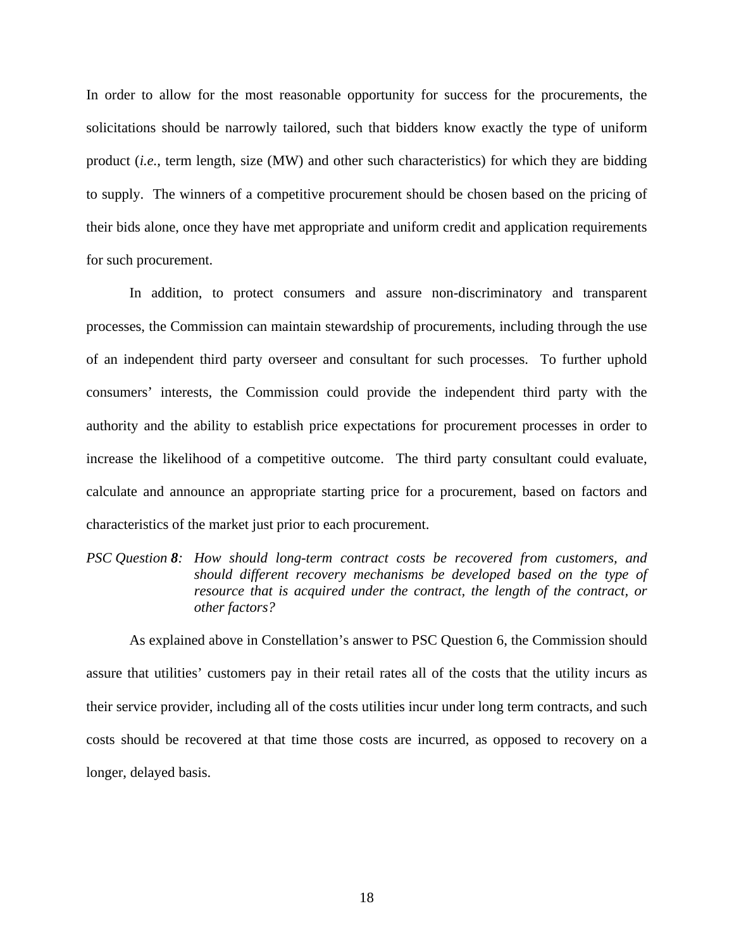In order to allow for the most reasonable opportunity for success for the procurements, the solicitations should be narrowly tailored, such that bidders know exactly the type of uniform product (*i.e.*, term length, size (MW) and other such characteristics) for which they are bidding to supply. The winners of a competitive procurement should be chosen based on the pricing of their bids alone, once they have met appropriate and uniform credit and application requirements for such procurement.

In addition, to protect consumers and assure non-discriminatory and transparent processes, the Commission can maintain stewardship of procurements, including through the use of an independent third party overseer and consultant for such processes. To further uphold consumers' interests, the Commission could provide the independent third party with the authority and the ability to establish price expectations for procurement processes in order to increase the likelihood of a competitive outcome. The third party consultant could evaluate, calculate and announce an appropriate starting price for a procurement, based on factors and characteristics of the market just prior to each procurement.

*PSC Question 8: How should long-term contract costs be recovered from customers, and should different recovery mechanisms be developed based on the type of resource that is acquired under the contract, the length of the contract, or other factors?* 

As explained above in Constellation's answer to PSC Question 6, the Commission should assure that utilities' customers pay in their retail rates all of the costs that the utility incurs as their service provider, including all of the costs utilities incur under long term contracts, and such costs should be recovered at that time those costs are incurred, as opposed to recovery on a longer, delayed basis.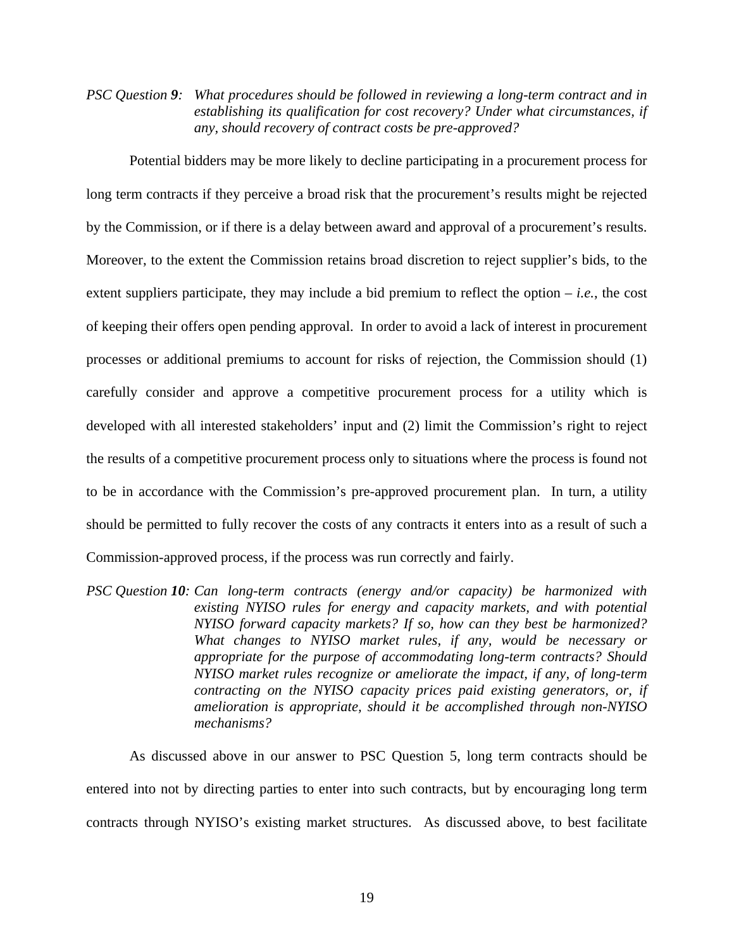*PSC Question 9: What procedures should be followed in reviewing a long-term contract and in establishing its qualification for cost recovery? Under what circumstances, if any, should recovery of contract costs be pre-approved?* 

Potential bidders may be more likely to decline participating in a procurement process for long term contracts if they perceive a broad risk that the procurement's results might be rejected by the Commission, or if there is a delay between award and approval of a procurement's results. Moreover, to the extent the Commission retains broad discretion to reject supplier's bids, to the extent suppliers participate, they may include a bid premium to reflect the option  $-i.e.,$  the cost of keeping their offers open pending approval. In order to avoid a lack of interest in procurement processes or additional premiums to account for risks of rejection, the Commission should (1) carefully consider and approve a competitive procurement process for a utility which is developed with all interested stakeholders' input and (2) limit the Commission's right to reject the results of a competitive procurement process only to situations where the process is found not to be in accordance with the Commission's pre-approved procurement plan. In turn, a utility should be permitted to fully recover the costs of any contracts it enters into as a result of such a Commission-approved process, if the process was run correctly and fairly.

*PSC Question 10: Can long-term contracts (energy and/or capacity) be harmonized with existing NYISO rules for energy and capacity markets, and with potential NYISO forward capacity markets? If so, how can they best be harmonized? What changes to NYISO market rules, if any, would be necessary or appropriate for the purpose of accommodating long-term contracts? Should NYISO market rules recognize or ameliorate the impact, if any, of long-term contracting on the NYISO capacity prices paid existing generators, or, if amelioration is appropriate, should it be accomplished through non-NYISO mechanisms?* 

 As discussed above in our answer to PSC Question 5, long term contracts should be entered into not by directing parties to enter into such contracts, but by encouraging long term contracts through NYISO's existing market structures. As discussed above, to best facilitate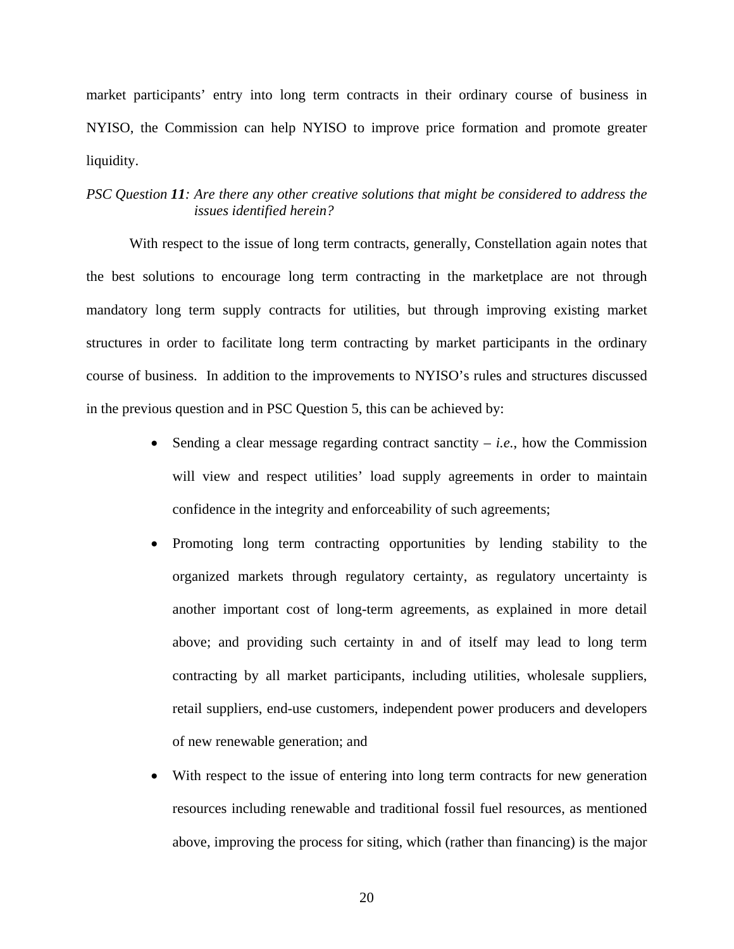market participants' entry into long term contracts in their ordinary course of business in NYISO, the Commission can help NYISO to improve price formation and promote greater liquidity.

## *PSC Question 11: Are there any other creative solutions that might be considered to address the issues identified herein?*

With respect to the issue of long term contracts, generally, Constellation again notes that the best solutions to encourage long term contracting in the marketplace are not through mandatory long term supply contracts for utilities, but through improving existing market structures in order to facilitate long term contracting by market participants in the ordinary course of business. In addition to the improvements to NYISO's rules and structures discussed in the previous question and in PSC Question 5, this can be achieved by:

- Sending a clear message regarding contract sanctity  $-i.e.,$  how the Commission will view and respect utilities' load supply agreements in order to maintain confidence in the integrity and enforceability of such agreements;
- Promoting long term contracting opportunities by lending stability to the organized markets through regulatory certainty, as regulatory uncertainty is another important cost of long-term agreements, as explained in more detail above; and providing such certainty in and of itself may lead to long term contracting by all market participants, including utilities, wholesale suppliers, retail suppliers, end-use customers, independent power producers and developers of new renewable generation; and
- With respect to the issue of entering into long term contracts for new generation resources including renewable and traditional fossil fuel resources, as mentioned above, improving the process for siting, which (rather than financing) is the major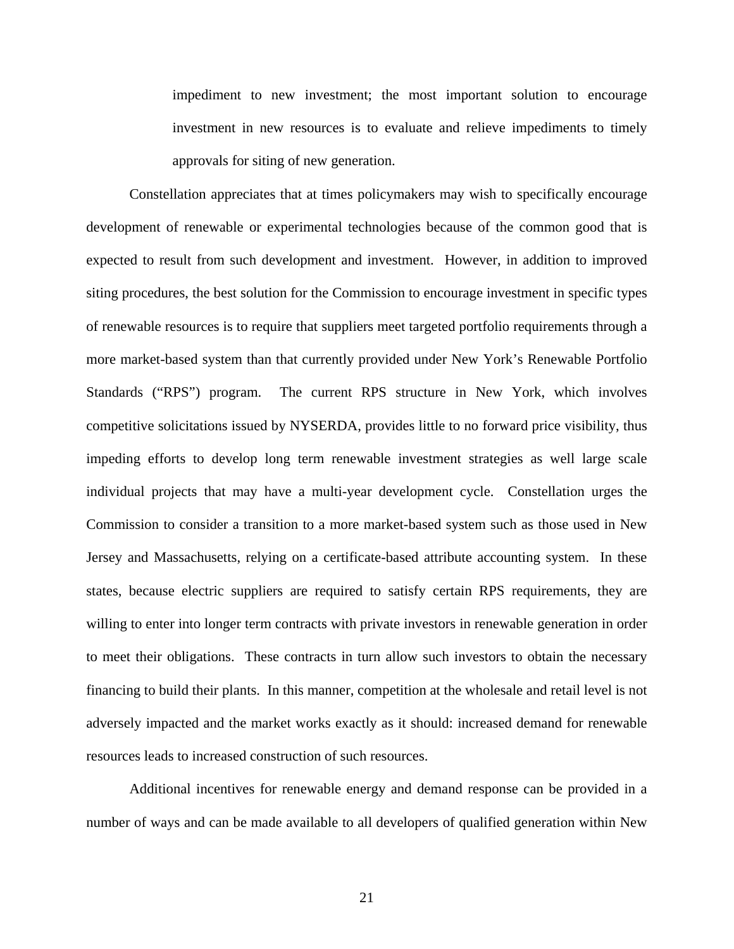impediment to new investment; the most important solution to encourage investment in new resources is to evaluate and relieve impediments to timely approvals for siting of new generation.

Constellation appreciates that at times policymakers may wish to specifically encourage development of renewable or experimental technologies because of the common good that is expected to result from such development and investment. However, in addition to improved siting procedures, the best solution for the Commission to encourage investment in specific types of renewable resources is to require that suppliers meet targeted portfolio requirements through a more market-based system than that currently provided under New York's Renewable Portfolio Standards ("RPS") program. The current RPS structure in New York, which involves competitive solicitations issued by NYSERDA, provides little to no forward price visibility, thus impeding efforts to develop long term renewable investment strategies as well large scale individual projects that may have a multi-year development cycle. Constellation urges the Commission to consider a transition to a more market-based system such as those used in New Jersey and Massachusetts, relying on a certificate-based attribute accounting system. In these states, because electric suppliers are required to satisfy certain RPS requirements, they are willing to enter into longer term contracts with private investors in renewable generation in order to meet their obligations. These contracts in turn allow such investors to obtain the necessary financing to build their plants. In this manner, competition at the wholesale and retail level is not adversely impacted and the market works exactly as it should: increased demand for renewable resources leads to increased construction of such resources.

Additional incentives for renewable energy and demand response can be provided in a number of ways and can be made available to all developers of qualified generation within New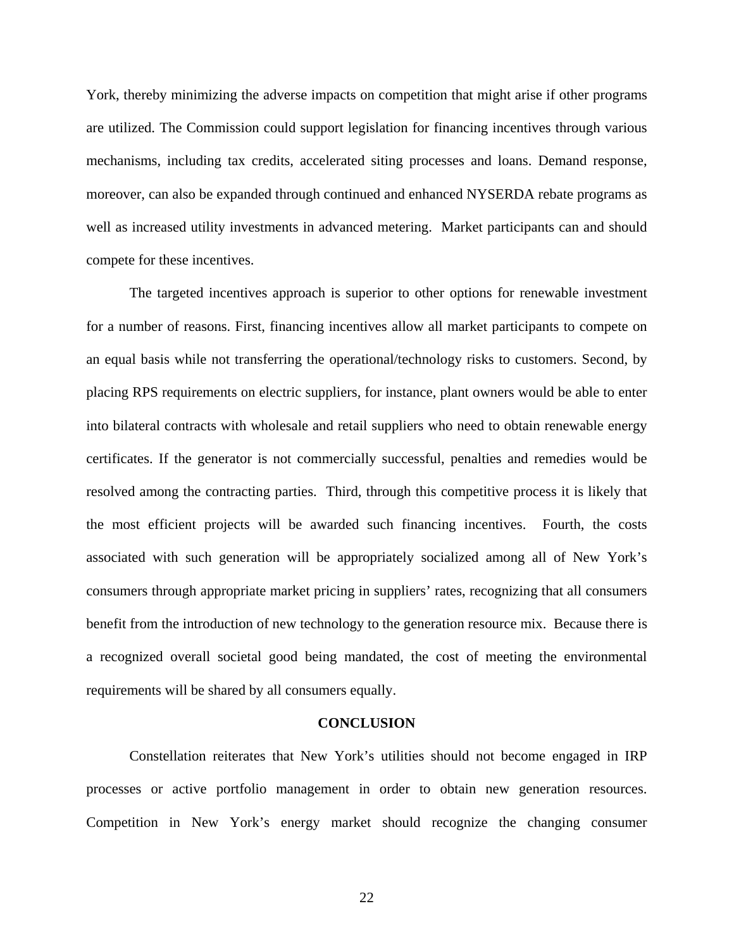York, thereby minimizing the adverse impacts on competition that might arise if other programs are utilized. The Commission could support legislation for financing incentives through various mechanisms, including tax credits, accelerated siting processes and loans. Demand response, moreover, can also be expanded through continued and enhanced NYSERDA rebate programs as well as increased utility investments in advanced metering. Market participants can and should compete for these incentives.

The targeted incentives approach is superior to other options for renewable investment for a number of reasons. First, financing incentives allow all market participants to compete on an equal basis while not transferring the operational/technology risks to customers. Second, by placing RPS requirements on electric suppliers, for instance, plant owners would be able to enter into bilateral contracts with wholesale and retail suppliers who need to obtain renewable energy certificates. If the generator is not commercially successful, penalties and remedies would be resolved among the contracting parties. Third, through this competitive process it is likely that the most efficient projects will be awarded such financing incentives. Fourth, the costs associated with such generation will be appropriately socialized among all of New York's consumers through appropriate market pricing in suppliers' rates, recognizing that all consumers benefit from the introduction of new technology to the generation resource mix. Because there is a recognized overall societal good being mandated, the cost of meeting the environmental requirements will be shared by all consumers equally.

#### **CONCLUSION**

Constellation reiterates that New York's utilities should not become engaged in IRP processes or active portfolio management in order to obtain new generation resources. Competition in New York's energy market should recognize the changing consumer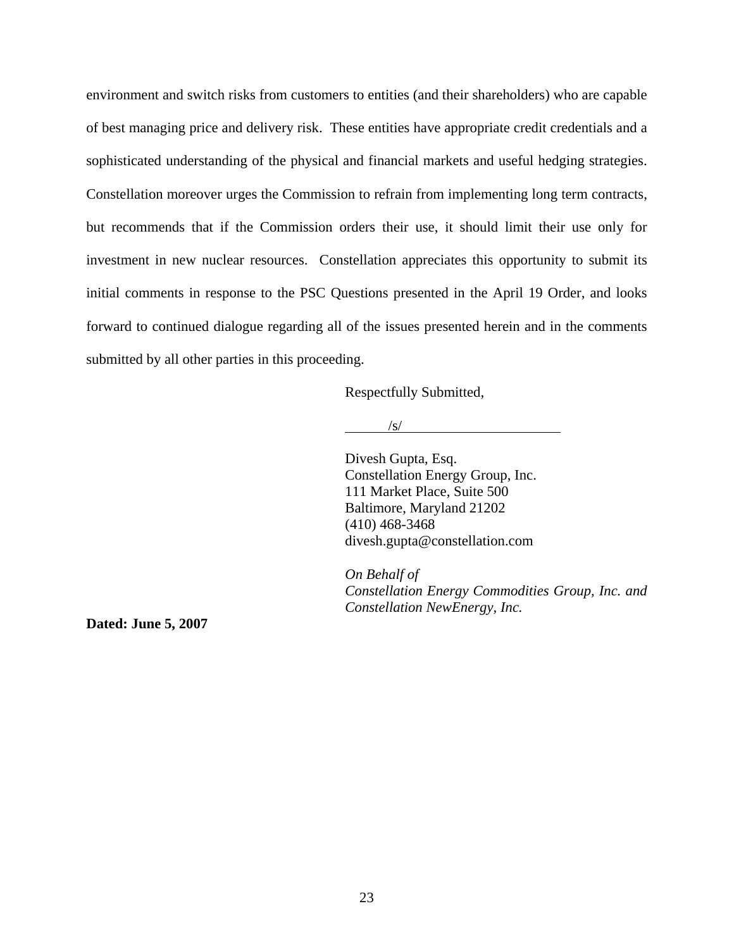environment and switch risks from customers to entities (and their shareholders) who are capable of best managing price and delivery risk. These entities have appropriate credit credentials and a sophisticated understanding of the physical and financial markets and useful hedging strategies. Constellation moreover urges the Commission to refrain from implementing long term contracts, but recommends that if the Commission orders their use, it should limit their use only for investment in new nuclear resources. Constellation appreciates this opportunity to submit its initial comments in response to the PSC Questions presented in the April 19 Order, and looks forward to continued dialogue regarding all of the issues presented herein and in the comments submitted by all other parties in this proceeding.

Respectfully Submitted,

 $\sqrt{s}$ /

Divesh Gupta, Esq. Constellation Energy Group, Inc. 111 Market Place, Suite 500 Baltimore, Maryland 21202 (410) 468-3468 divesh.gupta@constellation.com

*On Behalf of Constellation Energy Commodities Group, Inc. and Constellation NewEnergy, Inc.*

**Dated: June 5, 2007**